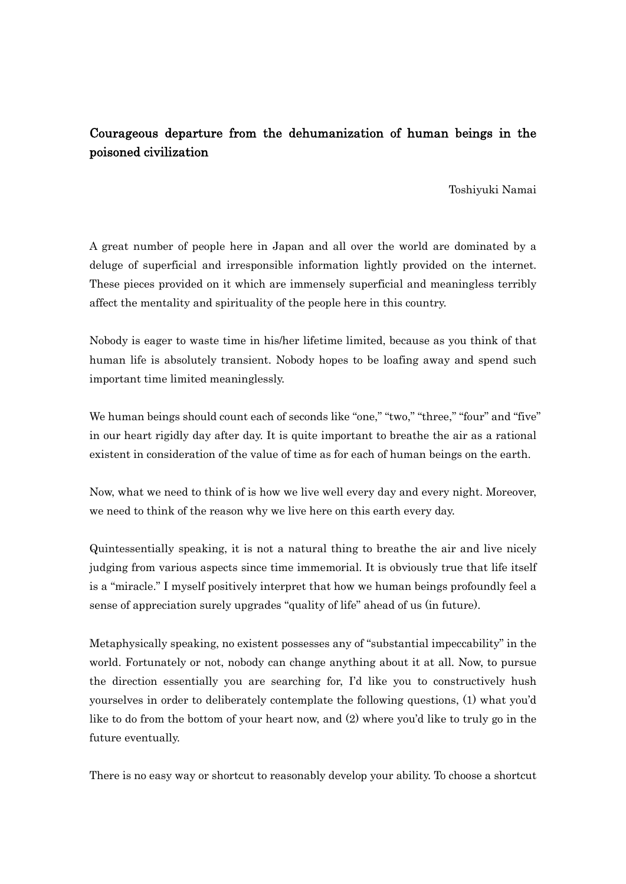## Courageous departure from the dehumanization of human beings in the poisoned civilization

Toshiyuki Namai

A great number of people here in Japan and all over the world are dominated by a deluge of superficial and irresponsible information lightly provided on the internet. These pieces provided on it which are immensely superficial and meaningless terribly affect the mentality and spirituality of the people here in this country.

Nobody is eager to waste time in his/her lifetime limited, because as you think of that human life is absolutely transient. Nobody hopes to be loafing away and spend such important time limited meaninglessly.

We human beings should count each of seconds like "one," "two," "three," "four" and "five" in our heart rigidly day after day. It is quite important to breathe the air as a rational existent in consideration of the value of time as for each of human beings on the earth.

Now, what we need to think of is how we live well every day and every night. Moreover, we need to think of the reason why we live here on this earth every day.

Quintessentially speaking, it is not a natural thing to breathe the air and live nicely judging from various aspects since time immemorial. It is obviously true that life itself is a "miracle." I myself positively interpret that how we human beings profoundly feel a sense of appreciation surely upgrades "quality of life" ahead of us (in future).

Metaphysically speaking, no existent possesses any of "substantial impeccability" in the world. Fortunately or not, nobody can change anything about it at all. Now, to pursue the direction essentially you are searching for, I'd like you to constructively hush yourselves in order to deliberately contemplate the following questions, (1) what you'd like to do from the bottom of your heart now, and (2) where you'd like to truly go in the future eventually.

There is no easy way or shortcut to reasonably develop your ability. To choose a shortcut